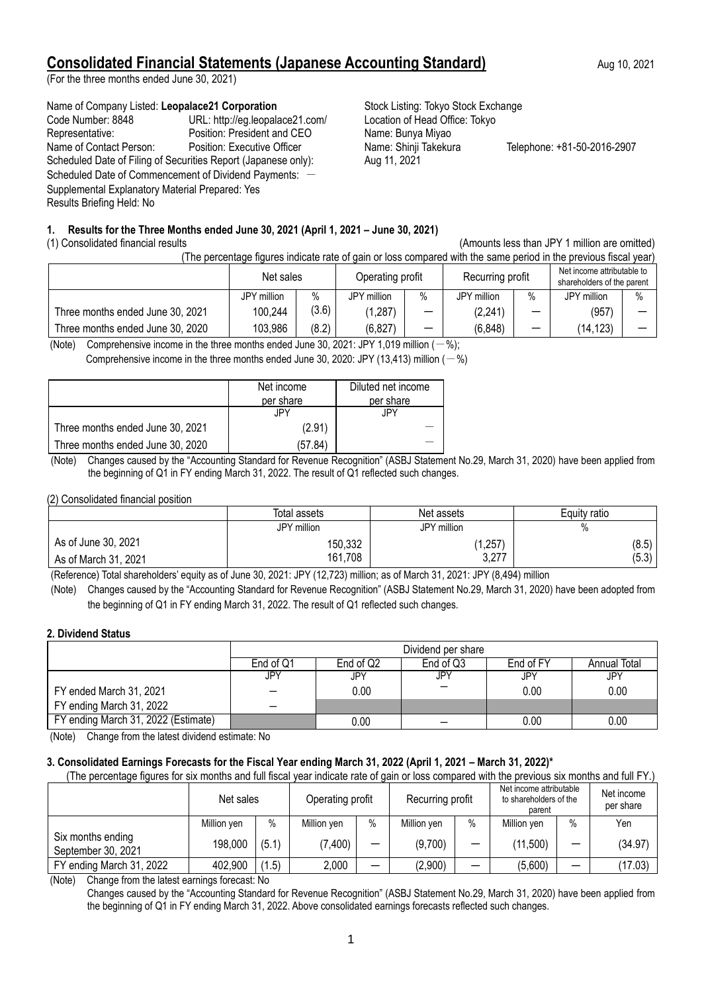# **Consolidated Financial Statements (Japanese Accounting Standard)** Aug 10, 2021

(For the three months ended June 30, 2021)

#### Name of Company Listed: Leopalace21 Corporation **Stock Listing: Tokyo Stock Exchange**

| Code Number: 8848                                              | URL: http://eg.leopalace21.com/ |
|----------------------------------------------------------------|---------------------------------|
| Representative:                                                | Position: President and CEO     |
| Name of Contact Person:                                        | Position: Executive Officer     |
| Scheduled Date of Filing of Securities Report (Japanese only): |                                 |
| Scheduled Date of Commencement of Dividend Payments: -         |                                 |
| Supplemental Explanatory Material Prepared: Yes                |                                 |
| Results Briefing Held: No                                      |                                 |
|                                                                |                                 |

Location of Head Office: Tokyo Name: Bunya Miyao Name: Shinji Takekura Telephone: +81-50-2016-2907 Aug 11, 2021

## **1. Results for the Three Months ended June 30, 2021 (April 1, 2021 – June 30, 2021)**

## (1) Consolidated financial results (Amounts less than JPY 1 million are omitted)

(The percentage figures indicate rate of gain or loss compared with the same period in the previous fiscal year)

|                                  | Net sales      |       | Operating profit |      | Recurring profit |      | Net income attributable to<br>shareholders of the parent |      |
|----------------------------------|----------------|-------|------------------|------|------------------|------|----------------------------------------------------------|------|
|                                  | million<br>JPY | $\%$  | JPY million      | $\%$ | JPY million      | $\%$ | JPY million                                              | $\%$ |
| Three months ended June 30, 2021 | 100,244        | (3.6) | ,287)            |      | (2, 241)         | –    | (957)                                                    |      |
| Three months ended June 30, 2020 | 103,986        | (8.2) | (6, 827)         | _    | (6, 848)         | –    | (14, 123)                                                |      |

(Note) Comprehensive income in the three months ended June 30, 2021; JPY 1,019 million  $(-\%)$ ;

Comprehensive income in the three months ended June 30, 2020: JPY (13,413) million  $(-%)$ 

|                                  | Net income<br>per share | Diluted net income<br>per share |
|----------------------------------|-------------------------|---------------------------------|
|                                  | JPY.                    | JPY.                            |
| Three months ended June 30, 2021 | (2.91)                  |                                 |
| Three months ended June 30, 2020 | (57.84)                 |                                 |

- (Note) Changes caused by the "Accounting Standard for Revenue Recognition" (ASBJ Statement No.29, March 31, 2020) have been applied from the beginning of Q1 in FY ending March 31, 2022. The result of Q1 reflected such changes.

#### (2) Consolidated financial position

|                      | Total assets | Net assets      | Equity ratio |
|----------------------|--------------|-----------------|--------------|
|                      | JPY million  | JPY million     | %            |
| As of June 30, 2021  | 150,332      | 1,257           | (8.5)        |
| As of March 31, 2021 | 161,708      | 3 777<br>0, 21. | (5.3)        |

(Reference) Total shareholders' equity as of June 30, 2021: JPY (12,723) million; as of March 31, 2021: JPY (8,494) million

(Note) Changes caused by the "Accounting Standard for Revenue Recognition" (ASBJ Statement No.29, March 31, 2020) have been adopted from the beginning of Q1 in FY ending March 31, 2022. The result of Q1 reflected such changes.

## **2. Dividend Status**

|                                     | Dividend per share |                                                            |     |      |      |  |  |  |  |
|-------------------------------------|--------------------|------------------------------------------------------------|-----|------|------|--|--|--|--|
|                                     | End of Q1          | End of Q2<br>End of Q3<br>End of FY<br><b>Annual Total</b> |     |      |      |  |  |  |  |
|                                     | JPY                | JPY                                                        | JPY | JPY  | JPY  |  |  |  |  |
| FY ended March 31, 2021             |                    | 0.00                                                       |     | 0.00 | 0.00 |  |  |  |  |
| FY ending March 31, 2022            |                    |                                                            |     |      |      |  |  |  |  |
| FY ending March 31, 2022 (Estimate) |                    | 0.00                                                       |     | 0.00 | 0.00 |  |  |  |  |

(Note) Change from the latest dividend estimate: No

# **3. Consolidated Earnings Forecasts for the Fiscal Year ending March 31, 2022 (April 1, 2021 – March 31, 2022)\***

(The percentage figures for six months and full fiscal year indicate rate of gain or loss compared with the previous six months and full FY.)

| ີ                                       | Net sales   |       | Operating profit |      | Recurring profit |          | Net income attributable<br>to shareholders of the<br>parent |   | Net income<br>per share |
|-----------------------------------------|-------------|-------|------------------|------|------------------|----------|-------------------------------------------------------------|---|-------------------------|
|                                         | Million yen | $\%$  | Million yen      | $\%$ | Million yen      | $\%$     | Million yen                                                 | % | Yen                     |
| Six months ending<br>September 30, 2021 | 198,000     | (5.1) | 7,400            | —    | (9,700)          | -        | (11,500)                                                    |   | (34.97)                 |
| FY ending March 31, 2022                | 402,900     | (1.5) | 2,000            | –    | (2,900)          | $\equiv$ | (5,600)                                                     |   | (17.03)                 |

(Note) Change from the latest earnings forecast: No

Changes caused by the "Accounting Standard for Revenue Recognition" (ASBJ Statement No.29, March 31, 2020) have been applied from the beginning of Q1 in FY ending March 31, 2022. Above consolidated earnings forecasts reflected such changes.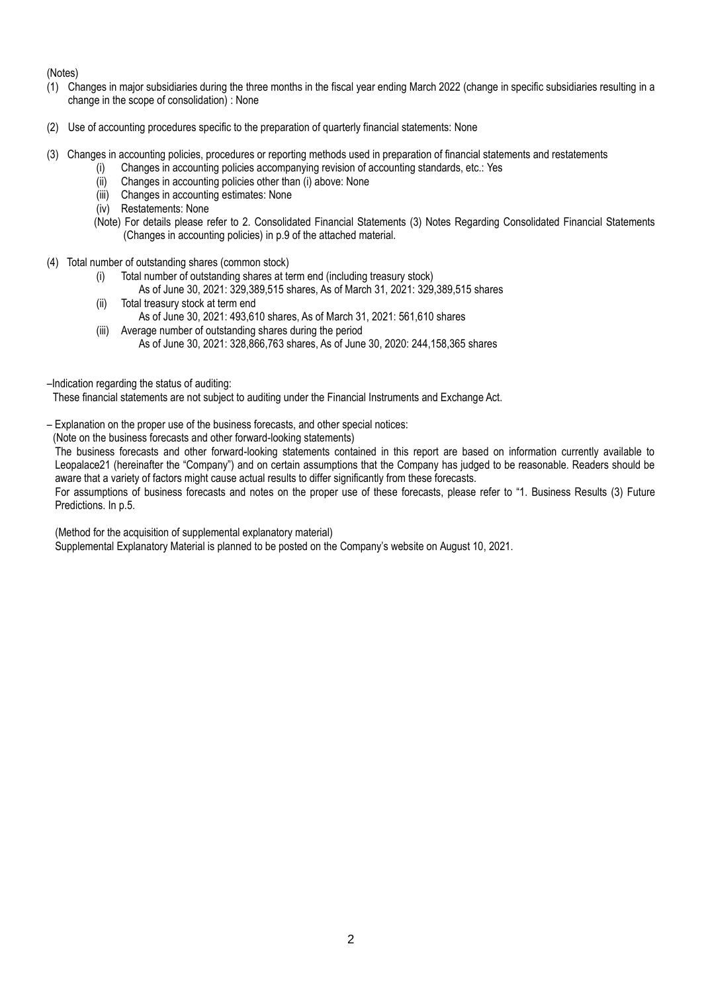(Notes)

- (1) Changes in major subsidiaries during the three months in the fiscal year ending March 2022 (change in specific subsidiaries resulting in a change in the scope of consolidation) : None
- (2) Use of accounting procedures specific to the preparation of quarterly financial statements: None
- (3) Changes in accounting policies, procedures or reporting methods used in preparation of financial statements and restatements
	- (i) Changes in accounting policies accompanying revision of accounting standards, etc.: Yes
	- (ii) Changes in accounting policies other than (i) above: None
	- (iii) Changes in accounting estimates: None
	- (iv) Restatements: None
	- (Note) For details please refer to 2. Consolidated Financial Statements (3) Notes Regarding Consolidated Financial Statements (Changes in accounting policies) in p.9 of the attached material.
- (4) Total number of outstanding shares (common stock)
	- (i) Total number of outstanding shares at term end (including treasury stock)
		- As of June 30, 2021: 329,389,515 shares, As of March 31, 2021: 329,389,515 shares
	- (ii) Total treasury stock at term end As of June 30, 2021: 493,610 shares, As of March 31, 2021: 561,610 shares
	- (iii) Average number of outstanding shares during the period As of June 30, 2021: 328,866,763 shares, As of June 30, 2020: 244,158,365 shares
- –Indication regarding the status of auditing:

These financial statements are not subject to auditing under the Financial Instruments and Exchange Act.

- Explanation on the proper use of the business forecasts, and other special notices:
- (Note on the business forecasts and other forward-looking statements)

The business forecasts and other forward-looking statements contained in this report are based on information currently available to Leopalace21 (hereinafter the "Company") and on certain assumptions that the Company has judged to be reasonable. Readers should be aware that a variety of factors might cause actual results to differ significantly from these forecasts.

For assumptions of business forecasts and notes on the proper use of these forecasts, please refer to "1. Business Results (3) Future Predictions. In p.5.

(Method for the acquisition of supplemental explanatory material)

Supplemental Explanatory Material is planned to be posted on the Company's website on August 10, 2021.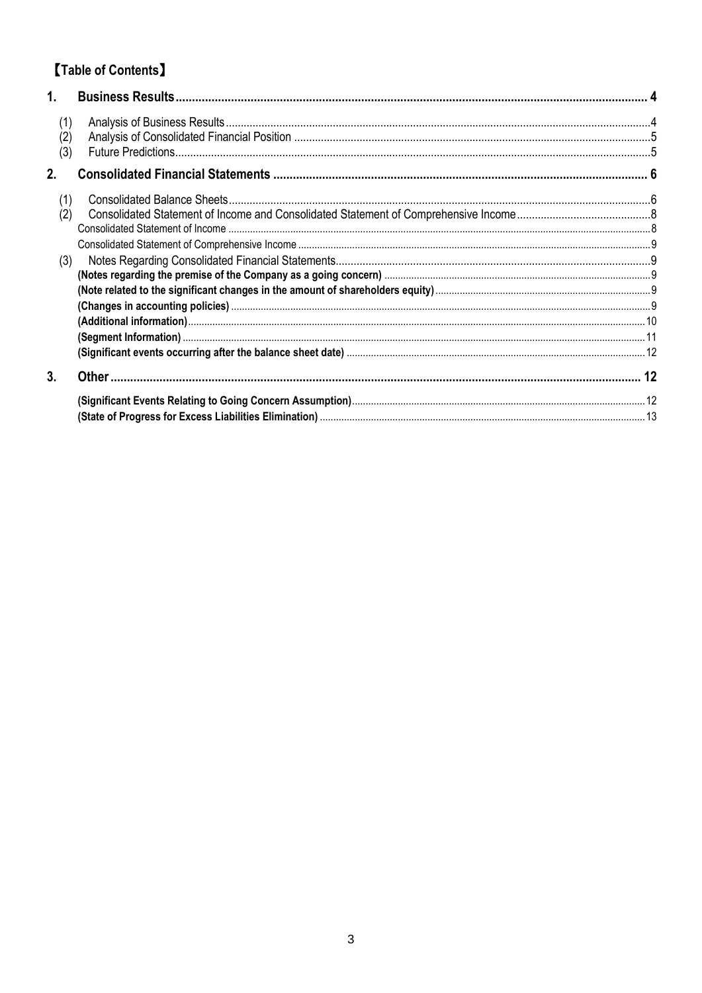# [Table of Contents]

| 1.                |  |
|-------------------|--|
| (1)<br>(2)<br>(3) |  |
| 2.                |  |
| (1)<br>(2)        |  |
| (3)               |  |
|                   |  |
|                   |  |
| 3.                |  |
|                   |  |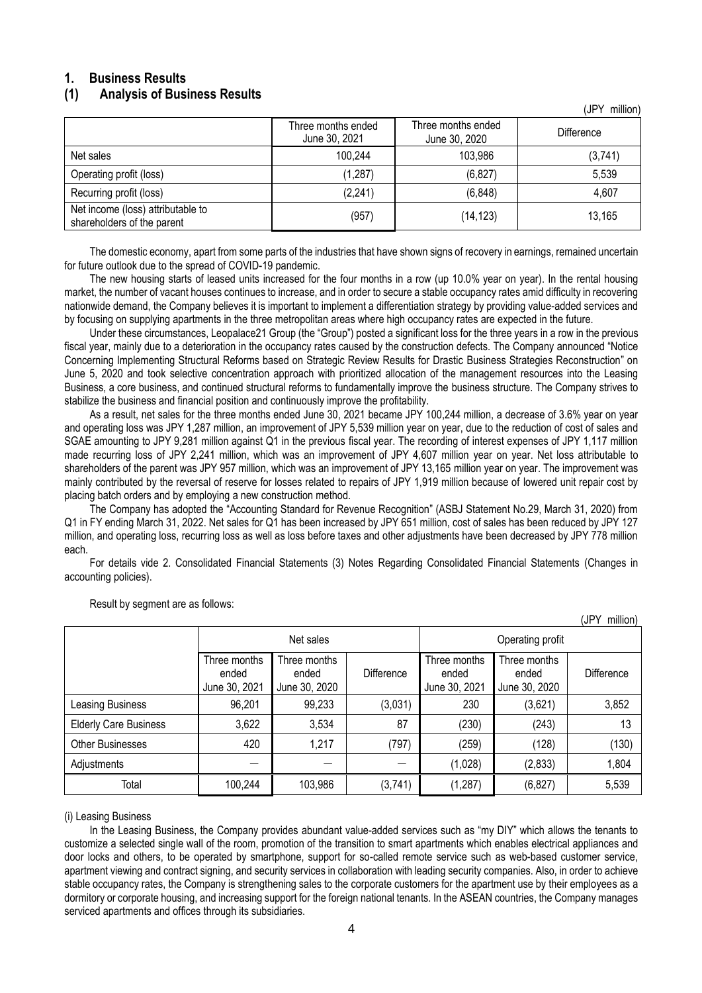# <span id="page-3-0"></span>**1. Business Results**

## <span id="page-3-1"></span>**(1) Analysis of Business Results**

|                                                                 | Three months ended<br>June 30, 2021 | Three months ended<br>June 30, 2020 | Difference |
|-----------------------------------------------------------------|-------------------------------------|-------------------------------------|------------|
| Net sales                                                       | 100,244                             | 103,986                             | (3,741)    |
| Operating profit (loss)                                         | (1, 287)                            | (6, 827)                            | 5,539      |
| Recurring profit (loss)                                         | (2,241)                             | (6, 848)                            | 4,607      |
| Net income (loss) attributable to<br>shareholders of the parent | (957)                               | (14, 123)                           | 13,165     |

(JPY million)

 $(1PN \cdot m)$ 

The domestic economy, apart from some parts of the industries that have shown signs of recovery in earnings, remained uncertain for future outlook due to the spread of COVID-19 pandemic.

The new housing starts of leased units increased for the four months in a row (up 10.0% year on year). In the rental housing market, the number of vacant houses continues to increase, and in order to secure a stable occupancy rates amid difficulty in recovering nationwide demand, the Company believes it is important to implement a differentiation strategy by providing value-added services and by focusing on supplying apartments in the three metropolitan areas where high occupancy rates are expected in the future.

Under these circumstances, Leopalace21 Group (the "Group") posted a significant loss for the three years in a row in the previous fiscal year, mainly due to a deterioration in the occupancy rates caused by the construction defects. The Company announced "Notice Concerning Implementing Structural Reforms based on Strategic Review Results for Drastic Business Strategies Reconstruction" on June 5, 2020 and took selective concentration approach with prioritized allocation of the management resources into the Leasing Business, a core business, and continued structural reforms to fundamentally improve the business structure. The Company strives to stabilize the business and financial position and continuously improve the profitability.

As a result, net sales for the three months ended June 30, 2021 became JPY 100,244 million, a decrease of 3.6% year on year and operating loss was JPY 1,287 million, an improvement of JPY 5,539 million year on year, due to the reduction of cost of sales and SGAE amounting to JPY 9,281 million against Q1 in the previous fiscal year. The recording of interest expenses of JPY 1,117 million made recurring loss of JPY 2,241 million, which was an improvement of JPY 4,607 million year on year. Net loss attributable to shareholders of the parent was JPY 957 million, which was an improvement of JPY 13,165 million year on year. The improvement was mainly contributed by the reversal of reserve for losses related to repairs of JPY 1,919 million because of lowered unit repair cost by placing batch orders and by employing a new construction method.

The Company has adopted the "Accounting Standard for Revenue Recognition" (ASBJ Statement No.29, March 31, 2020) from Q1 in FY ending March 31, 2022. Net sales for Q1 has been increased by JPY 651 million, cost of sales has been reduced by JPY 127 million, and operating loss, recurring loss as well as loss before taxes and other adjustments have been decreased by JPY 778 million each.

For details vide 2. Consolidated Financial Statements (3) Notes Regarding Consolidated Financial Statements (Changes in accounting policies).

|                              | Net sales                              |                                        |            | Operating profit                       |                                        |                   |  |
|------------------------------|----------------------------------------|----------------------------------------|------------|----------------------------------------|----------------------------------------|-------------------|--|
|                              | Three months<br>ended<br>June 30, 2021 | Three months<br>ended<br>June 30, 2020 | Difference | Three months<br>ended<br>June 30, 2021 | Three months<br>ended<br>June 30, 2020 | <b>Difference</b> |  |
| Leasing Business             | 96,201                                 | 99,233                                 | (3,031)    | 230                                    | (3,621)                                | 3,852             |  |
| <b>Elderly Care Business</b> | 3,622                                  | 3,534                                  | 87         | (230)                                  | (243)                                  | 13                |  |
| <b>Other Businesses</b>      | 420                                    | 1.217                                  | (797)      | (259)                                  | (128)                                  | (130)             |  |
| Adjustments                  |                                        |                                        |            | (1,028)                                | (2,833)                                | 1,804             |  |
| Total                        | 100,244                                | 103,986                                | (3,741)    | (1, 287)                               | (6, 827)                               | 5,539             |  |

#### Result by segment are as follows:

(i) Leasing Business

In the Leasing Business, the Company provides abundant value-added services such as "my DIY" which allows the tenants to customize a selected single wall of the room, promotion of the transition to smart apartments which enables electrical appliances and door locks and others, to be operated by smartphone, support for so-called remote service such as web-based customer service, apartment viewing and contract signing, and security services in collaboration with leading security companies. Also, in order to achieve stable occupancy rates, the Company is strengthening sales to the corporate customers for the apartment use by their employees as a dormitory or corporate housing, and increasing support for the foreign national tenants. In the ASEAN countries, the Company manages serviced apartments and offices through its subsidiaries.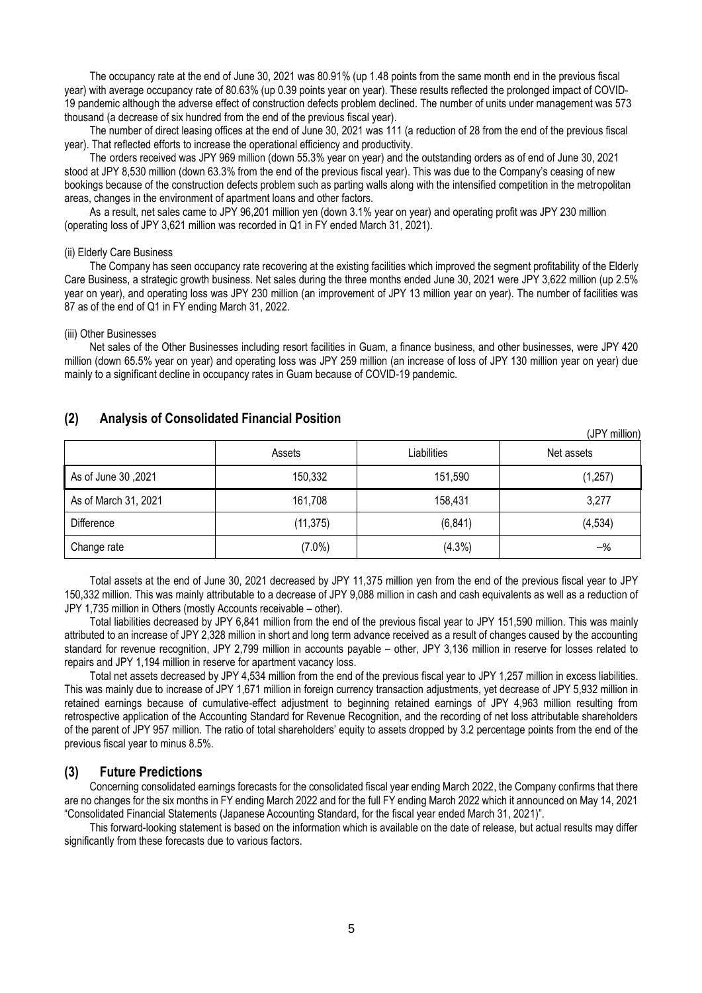The occupancy rate at the end of June 30, 2021 was 80.91% (up 1.48 points from the same month end in the previous fiscal year) with average occupancy rate of 80.63% (up 0.39 points year on year). These results reflected the prolonged impact of COVID-19 pandemic although the adverse effect of construction defects problem declined. The number of units under management was 573 thousand (a decrease of six hundred from the end of the previous fiscal year).

The number of direct leasing offices at the end of June 30, 2021 was 111 (a reduction of 28 from the end of the previous fiscal year). That reflected efforts to increase the operational efficiency and productivity.

The orders received was JPY 969 million (down 55.3% year on year) and the outstanding orders as of end of June 30, 2021 stood at JPY 8,530 million (down 63.3% from the end of the previous fiscal year). This was due to the Company's ceasing of new bookings because of the construction defects problem such as parting walls along with the intensified competition in the metropolitan areas, changes in the environment of apartment loans and other factors.

As a result, net sales came to JPY 96,201 million yen (down 3.1% year on year) and operating profit was JPY 230 million (operating loss of JPY 3,621 million was recorded in Q1 in FY ended March 31, 2021).

#### (ii) Elderly Care Business

The Company has seen occupancy rate recovering at the existing facilities which improved the segment profitability of the Elderly Care Business, a strategic growth business. Net sales during the three months ended June 30, 2021 were JPY 3,622 million (up 2.5% year on year), and operating loss was JPY 230 million (an improvement of JPY 13 million year on year). The number of facilities was 87 as of the end of Q1 in FY ending March 31, 2022.

#### (iii) Other Businesses

Net sales of the Other Businesses including resort facilities in Guam, a finance business, and other businesses, were JPY 420 million (down 65.5% year on year) and operating loss was JPY 259 million (an increase of loss of JPY 130 million year on year) due mainly to a significant decline in occupancy rates in Guam because of COVID-19 pandemic.

## <span id="page-4-0"></span>**(2) Analysis of Consolidated Financial Position**

|                      | Assets    | Liabilities | Net assets     |
|----------------------|-----------|-------------|----------------|
| As of June 30, 2021  | 150,332   | 151,590     | (1,257)        |
| As of March 31, 2021 | 161,708   | 158,431     | 3,277          |
| Difference           | (11, 375) | (6, 841)    | (4, 534)       |
| Change rate          | $(7.0\%)$ | (4.3%)      | $-\frac{9}{6}$ |

(JPY million)

Total assets at the end of June 30, 2021 decreased by JPY 11,375 million yen from the end of the previous fiscal year to JPY 150,332 million. This was mainly attributable to a decrease of JPY 9,088 million in cash and cash equivalents as well as a reduction of JPY 1,735 million in Others (mostly Accounts receivable – other).

Total liabilities decreased by JPY 6,841 million from the end of the previous fiscal year to JPY 151,590 million. This was mainly attributed to an increase of JPY 2,328 million in short and long term advance received as a result of changes caused by the accounting standard for revenue recognition, JPY 2,799 million in accounts payable – other, JPY 3,136 million in reserve for losses related to repairs and JPY 1,194 million in reserve for apartment vacancy loss.

Total net assets decreased by JPY 4,534 million from the end of the previous fiscal year to JPY 1,257 million in excess liabilities. This was mainly due to increase of JPY 1,671 million in foreign currency transaction adjustments, yet decrease of JPY 5,932 million in retained earnings because of cumulative-effect adjustment to beginning retained earnings of JPY 4,963 million resulting from retrospective application of the Accounting Standard for Revenue Recognition, and the recording of net loss attributable shareholders of the parent of JPY 957 million. The ratio of total shareholders' equity to assets dropped by 3.2 percentage points from the end of the previous fiscal year to minus 8.5%.

#### <span id="page-4-1"></span>**(3) Future Predictions**

Concerning consolidated earnings forecasts for the consolidated fiscal year ending March 2022, the Company confirms that there are no changes for the six months in FY ending March 2022 and for the full FY ending March 2022 which it announced on May 14, 2021 "Consolidated Financial Statements (Japanese Accounting Standard, for the fiscal year ended March 31, 2021)".

This forward-looking statement is based on the information which is available on the date of release, but actual results may differ significantly from these forecasts due to various factors.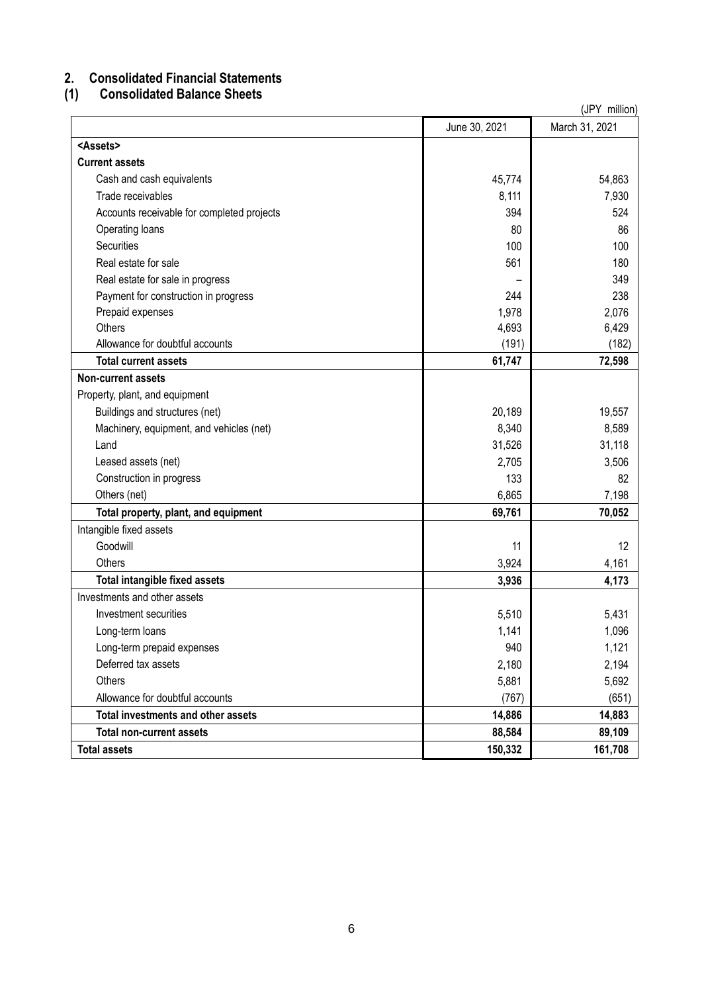# <span id="page-5-0"></span>**2. Consolidated Financial Statements**

# <span id="page-5-1"></span>**(1) Consolidated Balance Sheets**

(JPY million) June 30, 2021 March 31, 2021 **<Assets> Current assets** Cash and cash equivalents **45,774** 54,863 Trade receivables 8,111 7,930 Accounts receivable for completed projects 394 524 Operating loans 86 Securities 100 100 Real estate for sale 561 180 Real estate for sale in progress extending the state of the state for sale in progress and state for sale in progress and state  $\sim$  349 Payment for construction in progress 238 Prepaid expenses 2,076 Others  $\begin{array}{ccc} 6,429 \end{array}$ Allowance for doubtful accounts (182) (191) (182) **Total current assets 61,747 72,598 Non-current assets** Property, plant, and equipment Buildings and structures (net) 20,189 19,557 Machinery, equipment, and vehicles (net) 8,589 Land 31,526 31,118 Leased assets (net)  $2,705$   $3,506$ Construction in progress 82 Others (net) 6,865 7,198 **Total property, plant, and equipment 69,761 70,052** Intangible fixed assets Goodwill 11 12 Others 3,924 4,161 **Total intangible fixed assets 4,173 4,173** Investments and other assets Investment securities 5,431 Securities 5,510 Securities 5,510 Securities 5,510 Securities 5,431 Long-term loans 1,141 1,096 Long-term prepaid expenses 1,121 Deferred tax assets 2,194 Others  $5,881$  5,092 Allowance for doubtful accounts (651) (651) **Total investments and other assets 14,886 14,883 Total non-current assets** 89,109 **Total assets 150,332 161,708**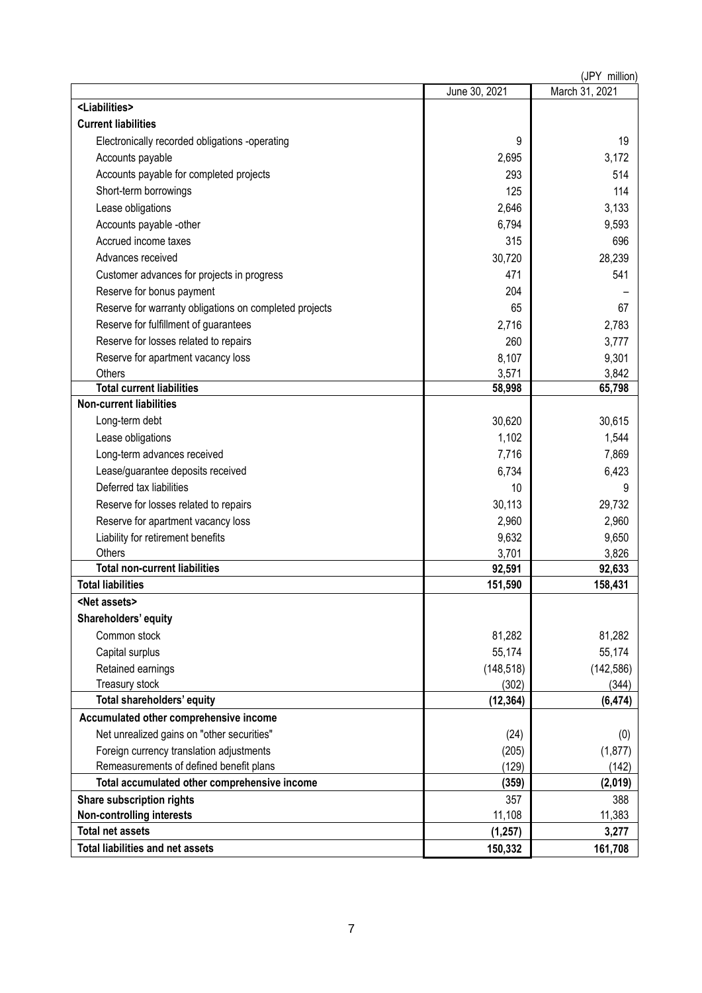| (JPY million)                                          |               |                |  |  |  |
|--------------------------------------------------------|---------------|----------------|--|--|--|
|                                                        | June 30, 2021 | March 31, 2021 |  |  |  |
| <liabilities></liabilities>                            |               |                |  |  |  |
| <b>Current liabilities</b>                             |               |                |  |  |  |
| Electronically recorded obligations -operating         | 9             | 19             |  |  |  |
| Accounts payable                                       | 2,695         | 3,172          |  |  |  |
| Accounts payable for completed projects                | 293           | 514            |  |  |  |
| Short-term borrowings                                  | 125           | 114            |  |  |  |
| Lease obligations                                      | 2,646         | 3,133          |  |  |  |
| Accounts payable -other                                | 6,794         | 9,593          |  |  |  |
| Accrued income taxes                                   | 315           | 696            |  |  |  |
| Advances received                                      | 30,720        | 28,239         |  |  |  |
| Customer advances for projects in progress             | 471           | 541            |  |  |  |
| Reserve for bonus payment                              | 204           |                |  |  |  |
| Reserve for warranty obligations on completed projects | 65            | 67             |  |  |  |
| Reserve for fulfillment of guarantees                  | 2,716         | 2,783          |  |  |  |
| Reserve for losses related to repairs                  | 260           | 3,777          |  |  |  |
| Reserve for apartment vacancy loss                     | 8,107         | 9,301          |  |  |  |
| Others                                                 | 3,571         | 3,842          |  |  |  |
| <b>Total current liabilities</b>                       | 58,998        | 65,798         |  |  |  |
| <b>Non-current liabilities</b>                         |               |                |  |  |  |
| Long-term debt                                         | 30,620        | 30,615         |  |  |  |
| Lease obligations                                      | 1,102         | 1,544          |  |  |  |
| Long-term advances received                            | 7,716         | 7,869          |  |  |  |
| Lease/guarantee deposits received                      | 6,734         | 6,423          |  |  |  |
| Deferred tax liabilities                               | 10            | 9              |  |  |  |
| Reserve for losses related to repairs                  | 30,113        | 29,732         |  |  |  |
| Reserve for apartment vacancy loss                     | 2,960         | 2,960          |  |  |  |
| Liability for retirement benefits                      | 9,632         | 9,650          |  |  |  |
| Others                                                 | 3,701         | 3,826          |  |  |  |
| <b>Total non-current liabilities</b>                   | 92,591        | 92,633         |  |  |  |
| <b>Total liabilities</b>                               | 151,590       | 158,431        |  |  |  |
| <net assets=""></net>                                  |               |                |  |  |  |
| Shareholders' equity                                   |               |                |  |  |  |
| Common stock                                           | 81,282        | 81,282         |  |  |  |
| Capital surplus                                        | 55,174        | 55,174         |  |  |  |
| Retained earnings                                      | (148, 518)    | (142, 586)     |  |  |  |
| Treasury stock                                         | (302)         | (344)          |  |  |  |
| Total shareholders' equity                             | (12, 364)     | (6, 474)       |  |  |  |
| Accumulated other comprehensive income                 |               |                |  |  |  |
| Net unrealized gains on "other securities"             | (24)          | (0)            |  |  |  |
| Foreign currency translation adjustments               | (205)         | (1, 877)       |  |  |  |
| Remeasurements of defined benefit plans                | (129)         | (142)          |  |  |  |
| Total accumulated other comprehensive income           | (359)         | (2,019)        |  |  |  |
| <b>Share subscription rights</b>                       | 357           | 388            |  |  |  |
| <b>Non-controlling interests</b>                       | 11,108        | 11,383         |  |  |  |
| <b>Total net assets</b>                                | (1, 257)      | 3,277          |  |  |  |
| <b>Total liabilities and net assets</b>                | 150,332       | 161,708        |  |  |  |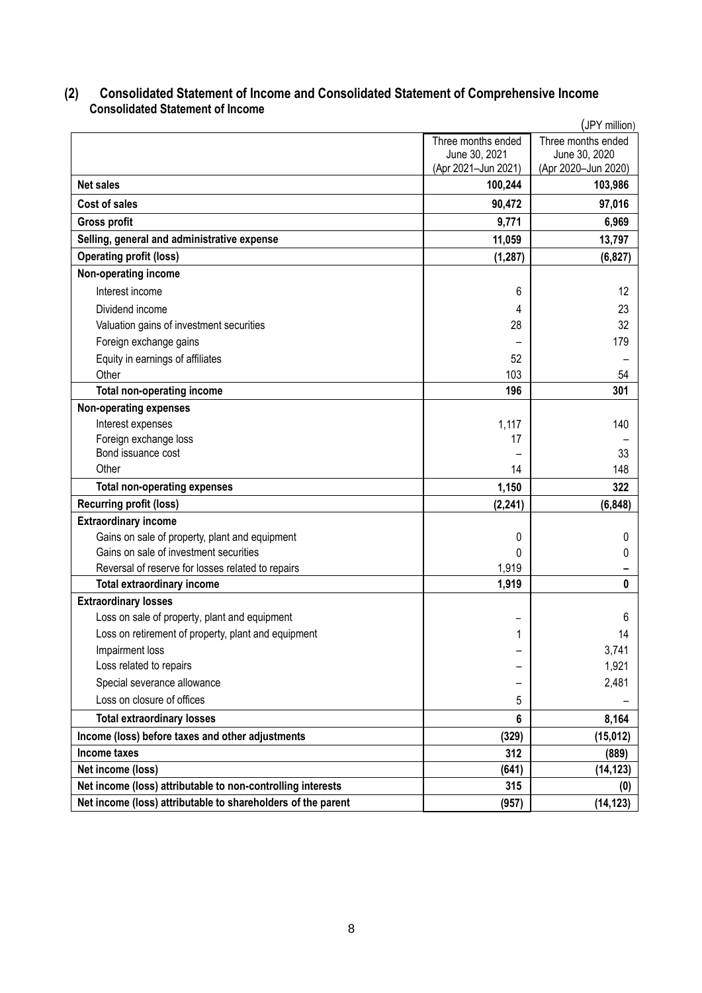# <span id="page-7-0"></span>**(2) Consolidated Statement of Income and Consolidated Statement of Comprehensive Income Consolidated Statement of Income**

<span id="page-7-1"></span>

|                                                              |                     | JPY million)        |
|--------------------------------------------------------------|---------------------|---------------------|
|                                                              | Three months ended  | Three months ended  |
|                                                              | June 30, 2021       | June 30, 2020       |
|                                                              | (Apr 2021-Jun 2021) | (Apr 2020-Jun 2020) |
| <b>Net sales</b>                                             | 100,244             | 103,986             |
| Cost of sales                                                | 90,472              | 97,016              |
| <b>Gross profit</b>                                          | 9,771               | 6,969               |
| Selling, general and administrative expense                  | 11,059              | 13,797              |
| <b>Operating profit (loss)</b>                               | (1, 287)            | (6, 827)            |
| Non-operating income                                         |                     |                     |
| Interest income                                              | 6                   | 12                  |
| Dividend income                                              | 4                   | 23                  |
| Valuation gains of investment securities                     | 28                  | 32                  |
| Foreign exchange gains                                       |                     | 179                 |
| Equity in earnings of affiliates                             | 52                  |                     |
| Other                                                        | 103                 | 54                  |
| <b>Total non-operating income</b>                            | 196                 | 301                 |
| <b>Non-operating expenses</b>                                |                     |                     |
| Interest expenses                                            | 1,117               | 140                 |
| Foreign exchange loss                                        | 17                  |                     |
| Bond issuance cost                                           |                     | 33                  |
| Other                                                        | 14                  | 148                 |
| <b>Total non-operating expenses</b>                          | 1,150               | 322                 |
| <b>Recurring profit (loss)</b>                               | (2, 241)            | (6, 848)            |
| <b>Extraordinary income</b>                                  |                     |                     |
| Gains on sale of property, plant and equipment               | 0                   | $^{(1)}$            |
| Gains on sale of investment securities                       | 0                   | 0                   |
| Reversal of reserve for losses related to repairs            | 1,919               |                     |
| <b>Total extraordinary income</b>                            | 1,919               | 0                   |
| <b>Extraordinary losses</b>                                  |                     |                     |
| Loss on sale of property, plant and equipment                |                     | 6                   |
| Loss on retirement of property, plant and equipment          | 1                   | 14                  |
| Impairment loss                                              |                     | 3,741               |
| Loss related to repairs                                      |                     | 1,921               |
| Special severance allowance                                  |                     | 2,481               |
| Loss on closure of offices                                   | 5                   |                     |
| <b>Total extraordinary losses</b>                            | 6                   | 8,164               |
| Income (loss) before taxes and other adjustments             | (329)               | (15, 012)           |
| Income taxes                                                 | 312                 | (889)               |
| Net income (loss)                                            | (641)               | (14, 123)           |
| Net income (loss) attributable to non-controlling interests  | 315                 | (0)                 |
| Net income (loss) attributable to shareholders of the parent | (957)               | (14, 123)           |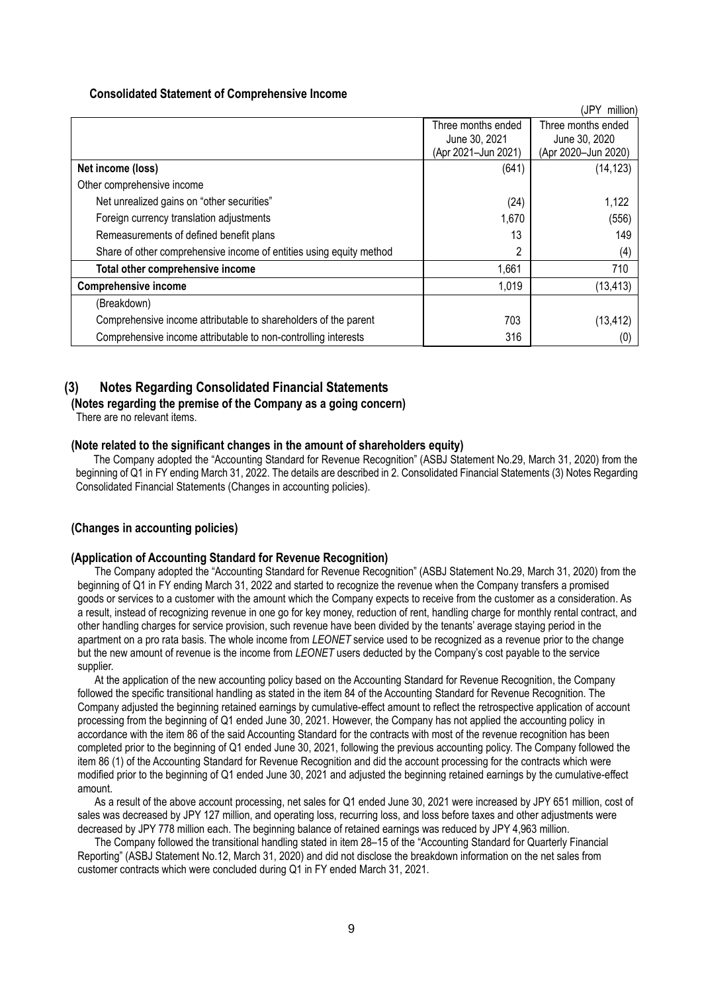#### **Consolidated Statement of Comprehensive Income**

<span id="page-8-0"></span>

|                                                                     |                     | (JPY<br>million)    |
|---------------------------------------------------------------------|---------------------|---------------------|
|                                                                     | Three months ended  | Three months ended  |
|                                                                     | June 30, 2021       | June 30, 2020       |
|                                                                     | (Apr 2021-Jun 2021) | (Apr 2020-Jun 2020) |
| Net income (loss)                                                   | (641)               | (14, 123)           |
| Other comprehensive income                                          |                     |                     |
| Net unrealized gains on "other securities"                          | (24)                | 1,122               |
| Foreign currency translation adjustments                            | 1,670               | (556)               |
| Remeasurements of defined benefit plans                             | 13                  | 149                 |
| Share of other comprehensive income of entities using equity method | 2                   | (4)                 |
| Total other comprehensive income                                    | 1,661               | 710                 |
| <b>Comprehensive income</b>                                         | 1,019               | (13, 413)           |
| (Breakdown)                                                         |                     |                     |
| Comprehensive income attributable to shareholders of the parent     | 703                 | (13, 412)           |
| Comprehensive income attributable to non-controlling interests      | 316                 | (0)                 |

## <span id="page-8-1"></span>**(3) Notes Regarding Consolidated Financial Statements**

<span id="page-8-2"></span>**(Notes regarding the premise of the Company as a going concern)** There are no relevant items.

#### <span id="page-8-3"></span>**(Note related to the significant changes in the amount of shareholders equity)**

The Company adopted the "Accounting Standard for Revenue Recognition" (ASBJ Statement No.29, March 31, 2020) from the beginning of Q1 in FY ending March 31, 2022. The details are described in 2. Consolidated Financial Statements (3) Notes Regarding Consolidated Financial Statements (Changes in accounting policies).

## <span id="page-8-4"></span>**(Changes in accounting policies)**

#### **(Application of Accounting Standard for Revenue Recognition)**

The Company adopted the "Accounting Standard for Revenue Recognition" (ASBJ Statement No.29, March 31, 2020) from the beginning of Q1 in FY ending March 31, 2022 and started to recognize the revenue when the Company transfers a promised goods or services to a customer with the amount which the Company expects to receive from the customer as a consideration. As a result, instead of recognizing revenue in one go for key money, reduction of rent, handling charge for monthly rental contract, and other handling charges for service provision, such revenue have been divided by the tenants' average staying period in the apartment on a pro rata basis. The whole income from *LEONET* service used to be recognized as a revenue prior to the change but the new amount of revenue is the income from *LEONET* users deducted by the Company's cost payable to the service supplier.

At the application of the new accounting policy based on the Accounting Standard for Revenue Recognition, the Company followed the specific transitional handling as stated in the item 84 of the Accounting Standard for Revenue Recognition. The Company adjusted the beginning retained earnings by cumulative-effect amount to reflect the retrospective application of account processing from the beginning of Q1 ended June 30, 2021. However, the Company has not applied the accounting policy in accordance with the item 86 of the said Accounting Standard for the contracts with most of the revenue recognition has been completed prior to the beginning of Q1 ended June 30, 2021, following the previous accounting policy. The Company followed the item 86 (1) of the Accounting Standard for Revenue Recognition and did the account processing for the contracts which were modified prior to the beginning of Q1 ended June 30, 2021 and adjusted the beginning retained earnings by the cumulative-effect amount.

As a result of the above account processing, net sales for Q1 ended June 30, 2021 were increased by JPY 651 million, cost of sales was decreased by JPY 127 million, and operating loss, recurring loss, and loss before taxes and other adjustments were decreased by JPY 778 million each. The beginning balance of retained earnings was reduced by JPY 4,963 million.

The Company followed the transitional handling stated in item 28–15 of the "Accounting Standard for Quarterly Financial Reporting" (ASBJ Statement No.12, March 31, 2020) and did not disclose the breakdown information on the net sales from customer contracts which were concluded during Q1 in FY ended March 31, 2021.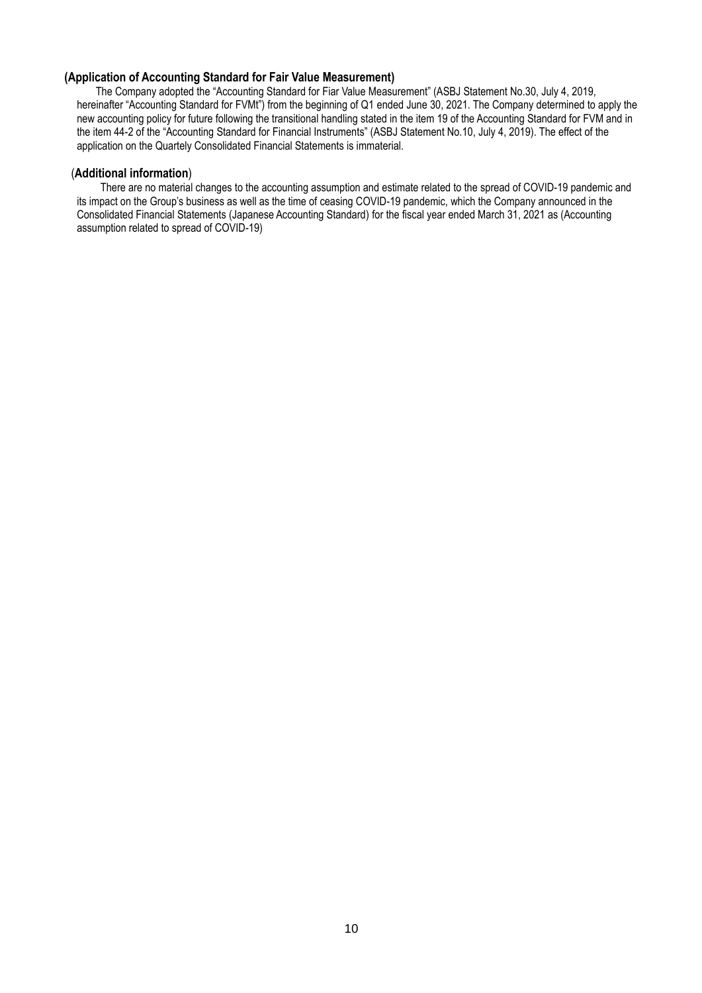### **(Application of Accounting Standard for Fair Value Measurement)**

The Company adopted the "Accounting Standard for Fiar Value Measurement" (ASBJ Statement No.30, July 4, 2019, hereinafter "Accounting Standard for FVMt") from the beginning of Q1 ended June 30, 2021. The Company determined to apply the new accounting policy for future following the transitional handling stated in the item 19 of the Accounting Standard for FVM and in the item 44-2 of the "Accounting Standard for Financial Instruments" (ASBJ Statement No.10, July 4, 2019). The effect of the application on the Quartely Consolidated Financial Statements is immaterial.

#### <span id="page-9-0"></span>(**Additional information**)

There are no material changes to the accounting assumption and estimate related to the spread of COVID-19 pandemic and its impact on the Group's business as well as the time of ceasing COVID-19 pandemic, which the Company announced in the Consolidated Financial Statements (Japanese Accounting Standard) for the fiscal year ended March 31, 2021 as (Accounting assumption related to spread of COVID-19)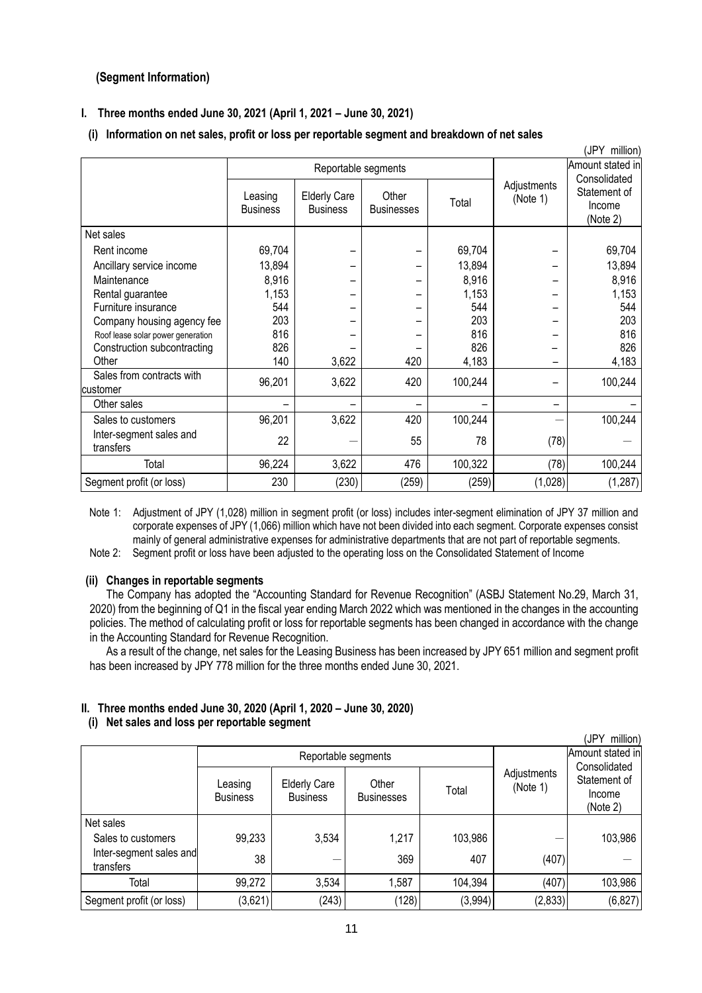## <span id="page-10-0"></span>**(Segment Information)**

## **I. Three months ended June 30, 2021 (April 1, 2021 – June 30, 2021)**

## **(i) Information on net sales, profit or loss per reportable segment and breakdown of net sales**

|                                       |                            |                                        |                            |         |                         | (JPY million)                                      |
|---------------------------------------|----------------------------|----------------------------------------|----------------------------|---------|-------------------------|----------------------------------------------------|
|                                       | Reportable segments        |                                        |                            |         |                         | Amount stated in                                   |
|                                       | Leasing<br><b>Business</b> | <b>Elderly Care</b><br><b>Business</b> | Other<br><b>Businesses</b> | Total   | Adjustments<br>(Note 1) | Consolidated<br>Statement of<br>Income<br>(Note 2) |
| Net sales                             |                            |                                        |                            |         |                         |                                                    |
| Rent income                           | 69,704                     |                                        |                            | 69,704  |                         | 69,704                                             |
| Ancillary service income              | 13,894                     |                                        |                            | 13,894  |                         | 13,894                                             |
| Maintenance                           | 8,916                      |                                        |                            | 8,916   |                         | 8,916                                              |
| Rental guarantee                      | 1,153                      |                                        |                            | 1,153   |                         | 1,153                                              |
| Furniture insurance                   | 544                        |                                        |                            | 544     |                         | 544                                                |
| Company housing agency fee            | 203                        |                                        |                            | 203     |                         | 203                                                |
| Roof lease solar power generation     | 816                        |                                        |                            | 816     |                         | 816                                                |
| Construction subcontracting           | 826                        |                                        |                            | 826     |                         | 826                                                |
| Other                                 | 140                        | 3,622                                  | 420                        | 4,183   |                         | 4,183                                              |
| Sales from contracts with<br>customer | 96,201                     | 3,622                                  | 420                        | 100,244 |                         | 100,244                                            |
| Other sales                           |                            |                                        |                            |         |                         |                                                    |
| Sales to customers                    | 96,201                     | 3,622                                  | 420                        | 100,244 |                         | 100,244                                            |
| Inter-segment sales and<br>transfers  | 22                         |                                        | 55                         | 78      | (78)                    |                                                    |
| Total                                 | 96,224                     | 3,622                                  | 476                        | 100,322 | (78)                    | 100,244                                            |
| Segment profit (or loss)              | 230                        | (230)                                  | (259)                      | (259)   | (1,028)                 | (1, 287)                                           |

Note 1: Adjustment of JPY (1,028) million in segment profit (or loss) includes inter-segment elimination of JPY 37 million and corporate expenses of JPY (1,066) million which have not been divided into each segment. Corporate expenses consist mainly of general administrative expenses for administrative departments that are not part of reportable segments.

Note 2: Segment profit or loss have been adjusted to the operating loss on the Consolidated Statement of Income

#### **(ii) Changes in reportable segments**

The Company has adopted the "Accounting Standard for Revenue Recognition" (ASBJ Statement No.29, March 31, 2020) from the beginning of Q1 in the fiscal year ending March 2022 which was mentioned in the changes in the accounting policies. The method of calculating profit or loss for reportable segments has been changed in accordance with the change in the Accounting Standard for Revenue Recognition.

As a result of the change, net sales for the Leasing Business has been increased by JPY 651 million and segment profit has been increased by JPY 778 million for the three months ended June 30, 2021.

## **II. Three months ended June 30, 2020 (April 1, 2020 – June 30, 2020) (i) Net sales and loss per reportable segment**

| (JPY<br>million)                     |                            |                                        |                            |         |                         |                                                    |  |  |
|--------------------------------------|----------------------------|----------------------------------------|----------------------------|---------|-------------------------|----------------------------------------------------|--|--|
|                                      | Reportable segments        |                                        |                            |         |                         | Amount stated in                                   |  |  |
|                                      | Leasing<br><b>Business</b> | <b>Elderly Care</b><br><b>Business</b> | Other<br><b>Businesses</b> | Total   | Adjustments<br>(Note 1) | Consolidated<br>Statement of<br>Income<br>(Note 2) |  |  |
| Net sales                            |                            |                                        |                            |         |                         |                                                    |  |  |
| Sales to customers                   | 99,233                     | 3,534                                  | 1,217                      | 103,986 |                         | 103,986                                            |  |  |
| Inter-segment sales and<br>transfers | 38                         |                                        | 369                        | 407     | (407)                   |                                                    |  |  |
| Total                                | 99,272                     | 3,534                                  | 1,587                      | 104,394 | (407)                   | 103,986                                            |  |  |
| Segment profit (or loss)             | (3,621)                    | (243)                                  | (128)                      | (3,994) | (2, 833)                | (6, 827)                                           |  |  |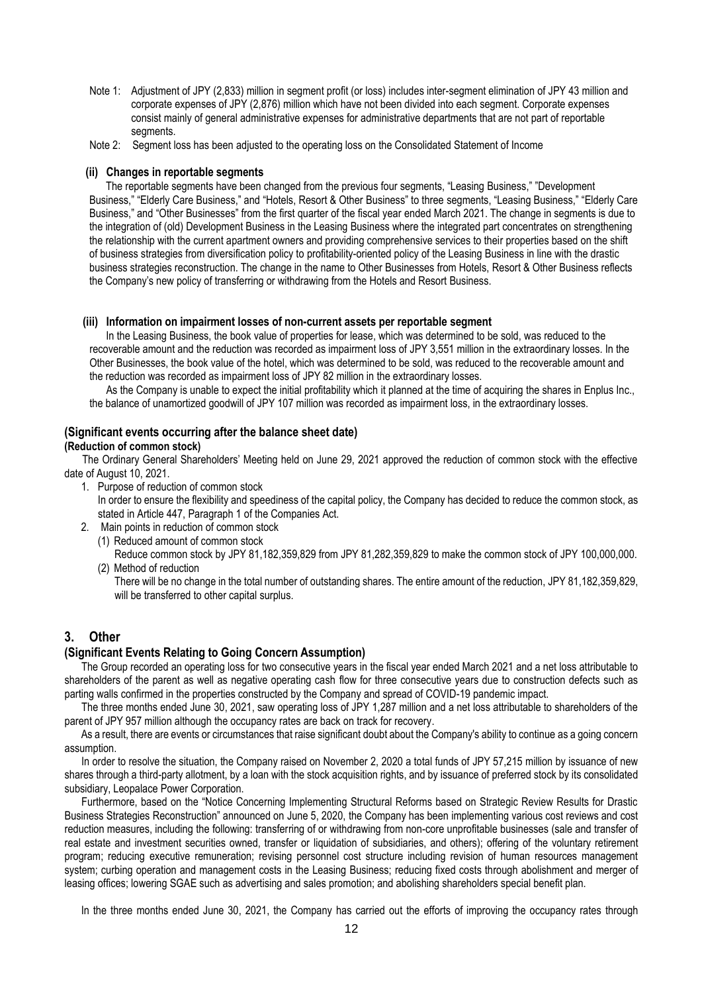- Note 1: Adjustment of JPY (2,833) million in segment profit (or loss) includes inter-segment elimination of JPY 43 million and corporate expenses of JPY (2,876) million which have not been divided into each segment. Corporate expenses consist mainly of general administrative expenses for administrative departments that are not part of reportable segments.
- Note 2: Segment loss has been adjusted to the operating loss on the Consolidated Statement of Income

#### **(ii) Changes in reportable segments**

The reportable segments have been changed from the previous four segments, "Leasing Business," "Development Business," "Elderly Care Business," and "Hotels, Resort & Other Business" to three segments, "Leasing Business," "Elderly Care Business," and "Other Businesses" from the first quarter of the fiscal year ended March 2021. The change in segments is due to the integration of (old) Development Business in the Leasing Business where the integrated part concentrates on strengthening the relationship with the current apartment owners and providing comprehensive services to their properties based on the shift of business strategies from diversification policy to profitability-oriented policy of the Leasing Business in line with the drastic business strategies reconstruction. The change in the name to Other Businesses from Hotels, Resort & Other Business reflects the Company's new policy of transferring or withdrawing from the Hotels and Resort Business.

#### **(iii) Information on impairment losses of non-current assets per reportable segment**

In the Leasing Business, the book value of properties for lease, which was determined to be sold, was reduced to the recoverable amount and the reduction was recorded as impairment loss of JPY 3,551 million in the extraordinary losses. In the Other Businesses, the book value of the hotel, which was determined to be sold, was reduced to the recoverable amount and the reduction was recorded as impairment loss of JPY 82 million in the extraordinary losses.

As the Company is unable to expect the initial profitability which it planned at the time of acquiring the shares in Enplus Inc., the balance of unamortized goodwill of JPY 107 million was recorded as impairment loss, in the extraordinary losses.

#### <span id="page-11-0"></span>**(Significant events occurring after the balance sheet date) (Reduction of common stock)**

The Ordinary General Shareholders' Meeting held on June 29, 2021 approved the reduction of common stock with the effective date of August 10, 2021.

1. Purpose of reduction of common stock

In order to ensure the flexibility and speediness of the capital policy, the Company has decided to reduce the common stock, as stated in Article 447, Paragraph 1 of the Companies Act.

- 2. Main points in reduction of common stock
	- (1) Reduced amount of common stock Reduce common stock by JPY 81,182,359,829 from JPY 81,282,359,829 to make the common stock of JPY 100,000,000.
	- (2) Method of reduction

There will be no change in the total number of outstanding shares. The entire amount of the reduction, JPY 81,182,359,829, will be transferred to other capital surplus.

## <span id="page-11-1"></span>**3. Other**

#### <span id="page-11-2"></span>**(Significant Events Relating to Going Concern Assumption)**

The Group recorded an operating loss for two consecutive years in the fiscal year ended March 2021 and a net loss attributable to shareholders of the parent as well as negative operating cash flow for three consecutive years due to construction defects such as parting walls confirmed in the properties constructed by the Company and spread of COVID-19 pandemic impact.

The three months ended June 30, 2021, saw operating loss of JPY 1,287 million and a net loss attributable to shareholders of the parent of JPY 957 million although the occupancy rates are back on track for recovery.

As a result, there are events or circumstances that raise significant doubt about the Company's ability to continue as a going concern assumption.

In order to resolve the situation, the Company raised on November 2, 2020 a total funds of JPY 57,215 million by issuance of new shares through a third-party allotment, by a loan with the stock acquisition rights, and by issuance of preferred stock by its consolidated subsidiary, Leopalace Power Corporation.

Furthermore, based on the "Notice Concerning Implementing Structural Reforms based on Strategic Review Results for Drastic Business Strategies Reconstruction" announced on June 5, 2020, the Company has been implementing various cost reviews and cost reduction measures, including the following: transferring of or withdrawing from non-core unprofitable businesses (sale and transfer of real estate and investment securities owned, transfer or liquidation of subsidiaries, and others); offering of the voluntary retirement program; reducing executive remuneration; revising personnel cost structure including revision of human resources management system; curbing operation and management costs in the Leasing Business; reducing fixed costs through abolishment and merger of leasing offices; lowering SGAE such as advertising and sales promotion; and abolishing shareholders special benefit plan.

In the three months ended June 30, 2021, the Company has carried out the efforts of improving the occupancy rates through